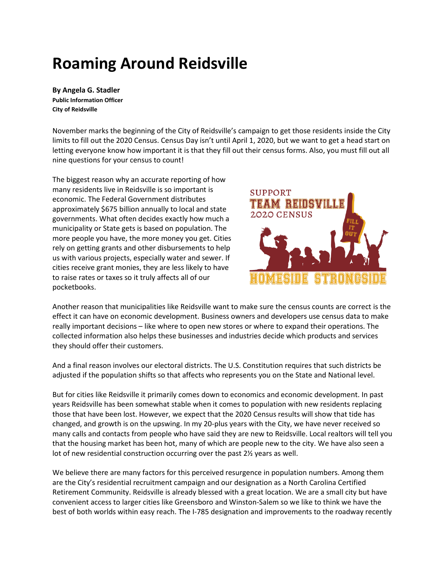## **Roaming Around Reidsville**

**By Angela G. Stadler Public Information Officer City of Reidsville**

November marks the beginning of the City of Reidsville's campaign to get those residents inside the City limits to fill out the 2020 Census. Census Day isn't until April 1, 2020, but we want to get a head start on letting everyone know how important it is that they fill out their census forms. Also, you must fill out all nine questions for your census to count!

The biggest reason why an accurate reporting of how many residents live in Reidsville is so important is economic. The Federal Government distributes approximately \$675 billion annually to local and state governments. What often decides exactly how much a municipality or State gets is based on population. The more people you have, the more money you get. Cities rely on getting grants and other disbursements to help us with various projects, especially water and sewer. If cities receive grant monies, they are less likely to have to raise rates or taxes so it truly affects all of our pocketbooks.



Another reason that municipalities like Reidsville want to make sure the census counts are correct is the effect it can have on economic development. Business owners and developers use census data to make really important decisions – like where to open new stores or where to expand their operations. The collected information also helps these businesses and industries decide which products and services they should offer their customers.

And a final reason involves our electoral districts. The U.S. Constitution requires that such districts be adjusted if the population shifts so that affects who represents you on the State and National level.

But for cities like Reidsville it primarily comes down to economics and economic development. In past years Reidsville has been somewhat stable when it comes to population with new residents replacing those that have been lost. However, we expect that the 2020 Census results will show that tide has changed, and growth is on the upswing. In my 20-plus years with the City, we have never received so many calls and contacts from people who have said they are new to Reidsville. Local realtors will tell you that the housing market has been hot, many of which are people new to the city. We have also seen a lot of new residential construction occurring over the past 2½ years as well.

We believe there are many factors for this perceived resurgence in population numbers. Among them are the City's residential recruitment campaign and our designation as a North Carolina Certified Retirement Community. Reidsville is already blessed with a great location. We are a small city but have convenient access to larger cities like Greensboro and Winston-Salem so we like to think we have the best of both worlds within easy reach. The I-785 designation and improvements to the roadway recently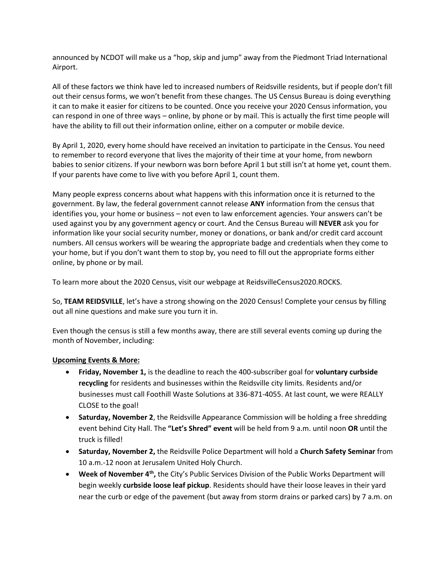announced by NCDOT will make us a "hop, skip and jump" away from the Piedmont Triad International Airport.

All of these factors we think have led to increased numbers of Reidsville residents, but if people don't fill out their census forms, we won't benefit from these changes. The US Census Bureau is doing everything it can to make it easier for citizens to be counted. Once you receive your 2020 Census information, you can respond in one of three ways – online, by phone or by mail. This is actually the first time people will have the ability to fill out their information online, either on a computer or mobile device.

By April 1, 2020, every home should have received an invitation to participate in the Census. You need to remember to record everyone that lives the majority of their time at your home, from newborn babies to senior citizens. If your newborn was born before April 1 but still isn't at home yet, count them. If your parents have come to live with you before April 1, count them.

Many people express concerns about what happens with this information once it is returned to the government. By law, the federal government cannot release **ANY** information from the census that identifies you, your home or business – not even to law enforcement agencies. Your answers can't be used against you by any government agency or court. And the Census Bureau will **NEVER** ask you for information like your social security number, money or donations, or bank and/or credit card account numbers. All census workers will be wearing the appropriate badge and credentials when they come to your home, but if you don't want them to stop by, you need to fill out the appropriate forms either online, by phone or by mail.

To learn more about the 2020 Census, visit our webpage at ReidsvilleCensus2020.ROCKS.

So, **TEAM REIDSVILLE**, let's have a strong showing on the 2020 Census! Complete your census by filling out all nine questions and make sure you turn it in.

Even though the census is still a few months away, there are still several events coming up during the month of November, including:

## **Upcoming Events & More:**

- **Friday, November 1,** is the deadline to reach the 400-subscriber goal for **voluntary curbside recycling** for residents and businesses within the Reidsville city limits. Residents and/or businesses must call Foothill Waste Solutions at 336-871-4055. At last count, we were REALLY CLOSE to the goal!
- **Saturday, November 2**, the Reidsville Appearance Commission will be holding a free shredding event behind City Hall. The **"Let's Shred" event** will be held from 9 a.m. until noon **OR** until the truck is filled!
- **Saturday, November 2,** the Reidsville Police Department will hold a **Church Safety Seminar** from 10 a.m.-12 noon at Jerusalem United Holy Church.
- **Week of November 4<sup>th</sup>,** the City's Public Services Division of the Public Works Department will begin weekly **curbside loose leaf pickup**. Residents should have their loose leaves in their yard near the curb or edge of the pavement (but away from storm drains or parked cars) by 7 a.m. on